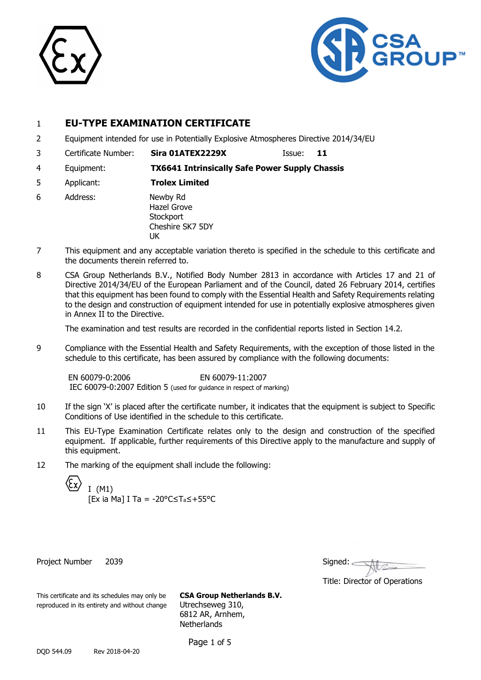



## 1 **EU-TYPE EXAMINATION CERTIFICATE**

- 2 Equipment intended for use in Potentially Explosive Atmospheres Directive 2014/34/EU
- 3 Certificate Number: **Sira 01ATEX2229X** Issue: **11**
- 4 Equipment: **TX6641 Intrinsically Safe Power Supply Chassis**
- 5 Applicant: **Trolex Limited**
- 6 Address: Newby Rd Hazel Grove **Stockport** Cheshire SK7 5DY UK
- 7 This equipment and any acceptable variation thereto is specified in the schedule to this certificate and the documents therein referred to.
- 8 CSA Group Netherlands B.V., Notified Body Number 2813 in accordance with Articles 17 and 21 of Directive 2014/34/EU of the European Parliament and of the Council, dated 26 February 2014, certifies that this equipment has been found to comply with the Essential Health and Safety Requirements relating to the design and construction of equipment intended for use in potentially explosive atmospheres given in Annex II to the Directive.

The examination and test results are recorded in the confidential reports listed in Section 14.2.

9 Compliance with the Essential Health and Safety Requirements, with the exception of those listed in the schedule to this certificate, has been assured by compliance with the following documents:

EN 60079-0:2006 EN 60079-11:2007 IEC 60079-0:2007 Edition 5 (used for guidance in respect of marking)

- 10 If the sign 'X' is placed after the certificate number, it indicates that the equipment is subject to Specific Conditions of Use identified in the schedule to this certificate.
- 11 This EU-Type Examination Certificate relates only to the design and construction of the specified equipment. If applicable, further requirements of this Directive apply to the manufacture and supply of this equipment.
- 12 The marking of the equipment shall include the following:

I (M1) [Ex ia Ma] I Ta = -20°C≤Ta≤+55°C

Project Number 2039

| Signed: |  |  |
|---------|--|--|
|         |  |  |

Title: Director of Operations

This certificate and its schedules may only be **CSA Group Netherlands B.V.** reproduced in its entirety and without change Utrechseweg 310,

6812 AR, Arnhem, **Netherlands** 

Page 1 of 5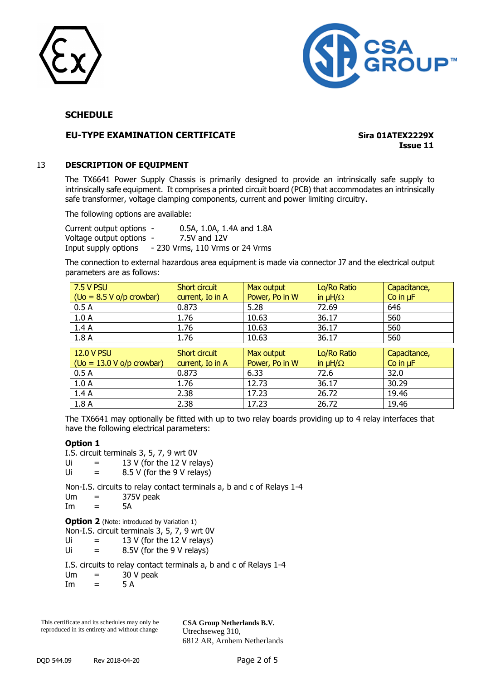



## **EU-TYPE EXAMINATION CERTIFICATE Sira 01ATEX2229X**

**Issue 11**

## 13 **DESCRIPTION OF EQUIPMENT**

The TX6641 Power Supply Chassis is primarily designed to provide an intrinsically safe supply to intrinsically safe equipment. It comprises a printed circuit board (PCB) that accommodates an intrinsically safe transformer, voltage clamping components, current and power limiting circuitry.

The following options are available:

Current output options - 0.5A, 1.0A, 1.4A and 1.8A Voltage output options - 7.5V and 12V Input supply options - 230 Vrms, 110 Vrms or 24 Vrms

The connection to external hazardous area equipment is made via connector J7 and the electrical output parameters are as follows:

| 7.5 V PSU                        | Short circuit    | Max output     | Lo/Ro Ratio       | Capacitance,  |
|----------------------------------|------------------|----------------|-------------------|---------------|
| $($ Uo = $8.5$ V o/p crowbar $)$ | current, Io in A | Power, Po in W | in $\mu H/\Omega$ | Co in $\mu$ F |
| 0.5A                             | 0.873            | 5.28           | 72.69             | 646           |
| 1.0A                             | 1.76             | 10.63          | 36.17             | 560           |
| 1.4A                             | 1.76             | 10.63          | 36.17             | 560           |
| 1.8A                             | 1.76             | 10.63          | 36.17             | 560           |
|                                  |                  |                |                   |               |
|                                  |                  |                |                   |               |
| <b>12.0 V PSU</b>                | Short circuit    | Max output     | Lo/Ro Ratio       | Capacitance,  |
| $($ Uo = 13.0 V o/p crowbar $)$  | current, Io in A | Power, Po in W | in $\mu H/\Omega$ | Co in $\mu$ F |
| 0.5A                             | 0.873            | 6.33           | 72.6              | 32.0          |
| 1.0A                             | 1.76             | 12.73          | 36.17             | 30.29         |
| 1.4A                             | 2.38             | 17.23          | 26.72             | 19.46         |

The TX6641 may optionally be fitted with up to two relay boards providing up to 4 relay interfaces that have the following electrical parameters:

## **Option 1**

- I.S. circuit terminals 3, 5, 7, 9 wrt 0V
- Ui  $=$  13 V (for the 12 V relays)
- $Ui = 8.5 V$  (for the 9 V relays)

Non-I.S. circuits to relay contact terminals a, b and c of Relays 1-4

- $Um = 375V$  peak
- $Im = 5A$

**Option 2** (Note: introduced by Variation 1)

Non-I.S. circuit terminals 3, 5, 7, 9 wrt 0V

- Ui  $=$  13 V (for the 12 V relays)
- Ui  $=$  8.5V (for the 9 V relays)

I.S. circuits to relay contact terminals a, b and c of Relays 1-4

 $Um = 30 V peak$ 

 $Im = 5 A$ 

This certificate and its schedules may only be reproduced in its entirety and without change **CSA Group Netherlands B.V.** Utrechseweg 310, 6812 AR, Arnhem Netherlands

DQD 544.09 Rev 2018-04-20 Page 2 of 5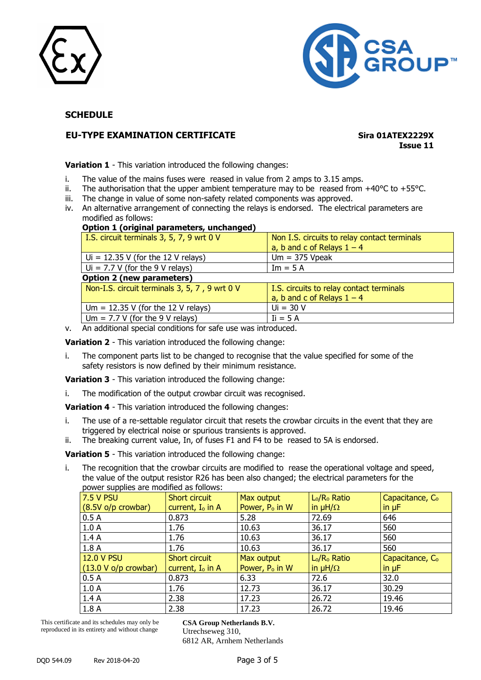



## **EU-TYPE EXAMINATION CERTIFICATE Sira 01ATEX2229X**

**Issue 11**

**Variation 1** - This variation introduced the following changes:

- i. The value of the mains fuses were reased in value from 2 amps to 3.15 amps.
- ii. The authorisation that the upper ambient temperature may to be reased from  $+40^{\circ}$ C to  $+55^{\circ}$ C.
- iii. The change in value of some non-safety related components was approved.
- iv. An alternative arrangement of connecting the relays is endorsed. The electrical parameters are modified as follows:

#### **Option 1 (original parameters, unchanged)**

| I.S. circuit terminals 3, 5, 7, 9 wrt 0 V     | Non I.S. circuits to relay contact terminals |
|-----------------------------------------------|----------------------------------------------|
|                                               | a, b and c of Relays $1 - 4$                 |
| $U = 12.35$ V (for the 12 V relays)           | $Um = 375 Vpeak$                             |
| $U_i = 7.7 V$ (for the 9 V relays)            | $Im = 5 A$                                   |
| <b>Option 2 (new parameters)</b>              |                                              |
| Non-I.S. circuit terminals 3, 5, 7, 9 wrt 0 V | I.S. circuits to relay contact terminals     |
|                                               | a, b and c of Relays $1 - 4$                 |
| Um = $12.35$ V (for the 12 V relays)          | $Ui = 30 V$                                  |
| Um = $7.7$ V (for the 9 V relays)             | $I_i = 5A$                                   |

v. An additional special conditions for safe use was introduced.

**Variation 2** - This variation introduced the following change:

i. The component parts list to be changed to recognise that the value specified for some of the safety resistors is now defined by their minimum resistance.

**Variation 3** - This variation introduced the following change:

i. The modification of the output crowbar circuit was recognised.

**Variation 4** - This variation introduced the following changes:

- i. The use of a re-settable regulator circuit that resets the crowbar circuits in the event that they are triggered by electrical noise or spurious transients is approved.
- ii. The breaking current value, In, of fuses F1 and F4 to be reased to 5A is endorsed.

**Variation 5** - This variation introduced the following change:

i. The recognition that the crowbar circuits are modified to rease the operational voltage and speed, the value of the output resistor R26 has been also changed; the electrical parameters for the power supplies are modified as follows:

| power supplies are misulica as follows: |                     |                            |                                      |                             |
|-----------------------------------------|---------------------|----------------------------|--------------------------------------|-----------------------------|
| 7.5 V PSU                               | Short circuit       | Max output                 | L <sub>o</sub> /R <sub>o</sub> Ratio | Capacitance, C <sub>o</sub> |
| $(8.5V)$ o/p crowbar)                   | current, $I_0$ in A | Power, P <sub>o</sub> in W | in $\mu H/\Omega$                    | in $\mu$ F                  |
| 0.5A                                    | 0.873               | 5.28                       | 72.69                                | 646                         |
| 1.0A                                    | 1.76                | 10.63                      | 36.17                                | 560                         |
| 1.4A                                    | 1.76                | 10.63                      | 36.17                                | 560                         |
| 1.8A                                    | 1.76                | 10.63                      | 36.17                                | 560                         |
| <b>12.0 V PSU</b>                       | Short circuit       | Max output                 | L <sub>o</sub> /R <sub>o</sub> Ratio | Capacitance, C <sub>o</sub> |
| $(13.0 V o/p$ crowbar)                  | current, $I_0$ in A | Power, P <sub>o</sub> in W | in $\mu H/\Omega$                    | in $\mu$ F                  |
| 0.5A                                    | 0.873               | 6.33                       | 72.6                                 | 32.0                        |
| 1.0A                                    | 1.76                | 12.73                      | 36.17                                | 30.29                       |
| 1.4A                                    | 2.38                | 17.23                      | 26.72                                | 19.46                       |
| 1.8A                                    | 2.38                | 17.23                      | 26.72                                | 19.46                       |

This certificate and its schedules may only be reproduced in its entirety and without change

**CSA Group Netherlands B.V.** Utrechseweg 310, 6812 AR, Arnhem Netherlands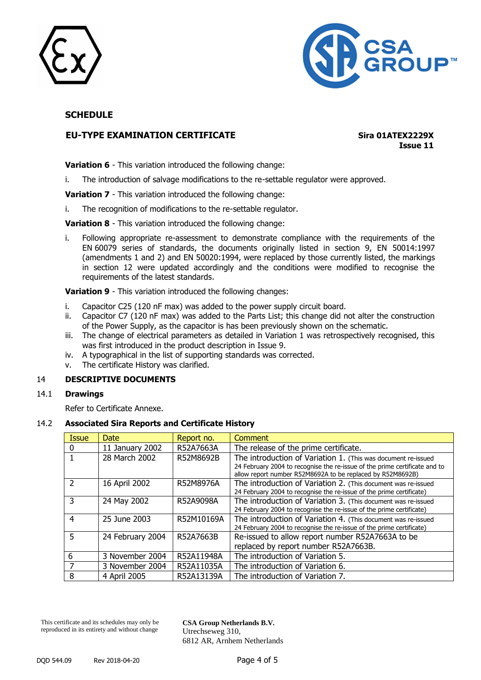



## **EU-TYPE EXAMINATION CERTIFICATE Sira 01ATEX2229X**

**Issue 11**

**Variation 6** - This variation introduced the following change:

i. The introduction of salvage modifications to the re-settable regulator were approved.

**Variation 7** - This variation introduced the following change:

i. The recognition of modifications to the re-settable regulator.

**Variation 8** - This variation introduced the following change:

i. Following appropriate re-assessment to demonstrate compliance with the requirements of the EN 60079 series of standards, the documents originally listed in section 9, EN 50014:1997 (amendments 1 and 2) and EN 50020:1994, were replaced by those currently listed, the markings in section 12 were updated accordingly and the conditions were modified to recognise the requirements of the latest standards.

**Variation 9** - This variation introduced the following changes:

- i. Capacitor C25 (120 nF max) was added to the power supply circuit board.
- ii. Capacitor C7 (120 nF max) was added to the Parts List; this change did not alter the construction of the Power Supply, as the capacitor is has been previously shown on the schematic.
- iii. The change of electrical parameters as detailed in Variation 1 was retrospectively recognised, this was first introduced in the product description in Issue 9.
- iv. A typographical in the list of supporting standards was corrected.
- v. The certificate History was clarified.

## 14 **DESCRIPTIVE DOCUMENTS**

## 14.1 **Drawings**

Refer to Certificate Annexe.

## 14.2 **Associated Sira Reports and Certificate History**

| <b>Issue</b> | <b>Date</b>      | Report no. | Comment                                                                                                                                                                                                   |
|--------------|------------------|------------|-----------------------------------------------------------------------------------------------------------------------------------------------------------------------------------------------------------|
| 0            | 11 January 2002  | R52A7663A  | The release of the prime certificate.                                                                                                                                                                     |
|              | 28 March 2002    | R52M8692B  | The introduction of Variation 1. (This was document re-issued<br>24 February 2004 to recognise the re-issue of the prime certificate and to<br>allow report number R52M8692A to be replaced by R52M8692B) |
| 2            | 16 April 2002    | R52M8976A  | The introduction of Variation 2. (This document was re-issued<br>24 February 2004 to recognise the re-issue of the prime certificate)                                                                     |
| 3            | 24 May 2002      | R52A9098A  | The introduction of Variation 3. (This document was re-issued<br>24 February 2004 to recognise the re-issue of the prime certificate)                                                                     |
| 4            | 25 June 2003     | R52M10169A | The introduction of Variation 4. (This document was re-issued<br>24 February 2004 to recognise the re-issue of the prime certificate)                                                                     |
| 5            | 24 February 2004 | R52A7663B  | Re-issued to allow report number R52A7663A to be<br>replaced by report number R52A7663B.                                                                                                                  |
| 6            | 3 November 2004  | R52A11948A | The introduction of Variation 5.                                                                                                                                                                          |
|              | 3 November 2004  | R52A11035A | The introduction of Variation 6.                                                                                                                                                                          |
| 8            | 4 April 2005     | R52A13139A | The introduction of Variation 7.                                                                                                                                                                          |

This certificate and its schedules may only be reproduced in its entirety and without change

**CSA Group Netherlands B.V.** Utrechseweg 310, 6812 AR, Arnhem Netherlands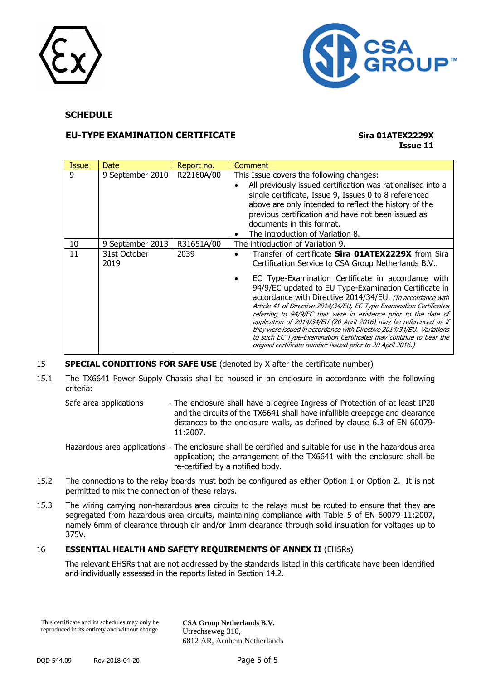



## **EU-TYPE EXAMINATION CERTIFICATE Sira 01ATEX2229X**

# **Issue 11**

| <b>Issue</b> | Date                 | Report no. | Comment                                                                                                                                                                                                                                                                                                                                                                                                                                                                                                                                                                                                                                                                                                                             |
|--------------|----------------------|------------|-------------------------------------------------------------------------------------------------------------------------------------------------------------------------------------------------------------------------------------------------------------------------------------------------------------------------------------------------------------------------------------------------------------------------------------------------------------------------------------------------------------------------------------------------------------------------------------------------------------------------------------------------------------------------------------------------------------------------------------|
| 9            | 9 September 2010     | R22160A/00 | This Issue covers the following changes:<br>All previously issued certification was rationalised into a<br>single certificate, Issue 9, Issues 0 to 8 referenced<br>above are only intended to reflect the history of the<br>previous certification and have not been issued as<br>documents in this format.<br>The introduction of Variation 8.                                                                                                                                                                                                                                                                                                                                                                                    |
| 10           | 9 September 2013     | R31651A/00 | The introduction of Variation 9.                                                                                                                                                                                                                                                                                                                                                                                                                                                                                                                                                                                                                                                                                                    |
| 11           | 31st October<br>2019 | 2039       | Transfer of certificate Sira 01ATEX2229X from Sira<br>$\bullet$<br>Certification Service to CSA Group Netherlands B.V<br>EC Type-Examination Certificate in accordance with<br>٠<br>94/9/EC updated to EU Type-Examination Certificate in<br>accordance with Directive 2014/34/EU. (In accordance with<br>Article 41 of Directive 2014/34/EU, EC Type-Examination Certificates<br>referring to 94/9/EC that were in existence prior to the date of<br>application of 2014/34/EU (20 April 2016) may be referenced as if<br>they were issued in accordance with Directive 2014/34/EU. Variations<br>to such EC Type-Examination Certificates may continue to bear the<br>original certificate number issued prior to 20 April 2016.) |

## 15 **SPECIAL CONDITIONS FOR SAFE USE** (denoted by X after the certificate number)

- 15.1 The TX6641 Power Supply Chassis shall be housed in an enclosure in accordance with the following criteria:
	- Safe area applications The enclosure shall have a degree Ingress of Protection of at least IP20 and the circuits of the TX6641 shall have infallible creepage and clearance distances to the enclosure walls, as defined by clause 6.3 of EN 60079- 11:2007.
	- Hazardous area applications The enclosure shall be certified and suitable for use in the hazardous area application; the arrangement of the TX6641 with the enclosure shall be re-certified by a notified body.
- 15.2 The connections to the relay boards must both be configured as either Option 1 or Option 2. It is not permitted to mix the connection of these relays.
- 15.3 The wiring carrying non-hazardous area circuits to the relays must be routed to ensure that they are segregated from hazardous area circuits, maintaining compliance with Table 5 of EN 60079-11:2007, namely 6mm of clearance through air and/or 1mm clearance through solid insulation for voltages up to 375V.

## 16 **ESSENTIAL HEALTH AND SAFETY REQUIREMENTS OF ANNEX II** (EHSRs)

The relevant EHSRs that are not addressed by the standards listed in this certificate have been identified and individually assessed in the reports listed in Section 14.2.

This certificate and its schedules may only be reproduced in its entirety and without change

**CSA Group Netherlands B.V.** Utrechseweg 310, 6812 AR, Arnhem Netherlands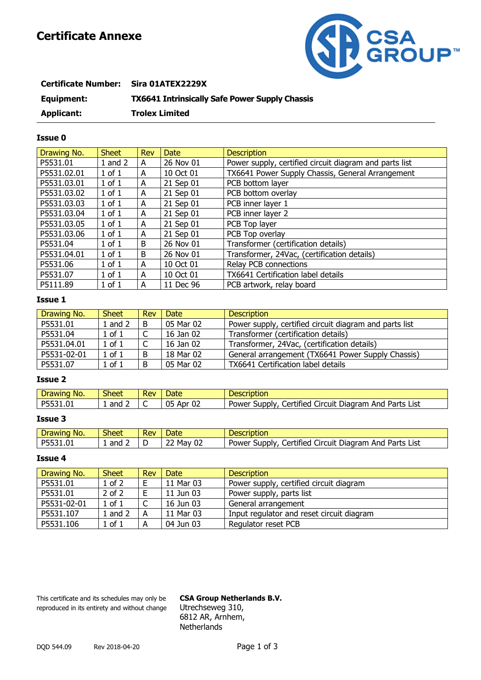## **Certificate Annexe**



| <b>Certificate Number:</b> | Sira 01ATEX2229X                                      |
|----------------------------|-------------------------------------------------------|
| Equipment:                 | <b>TX6641 Intrinsically Safe Power Supply Chassis</b> |
| Applicant:                 | <b>Trolex Limited</b>                                 |

## **Issue 0**

| Drawing No. | <b>Sheet</b> | <b>Rev</b> | <b>Date</b> | <b>Description</b>                                     |
|-------------|--------------|------------|-------------|--------------------------------------------------------|
| P5531.01    | $1$ and $2$  | A          | 26 Nov 01   | Power supply, certified circuit diagram and parts list |
| P5531.02.01 | $1$ of $1$   | A          | 10 Oct 01   | TX6641 Power Supply Chassis, General Arrangement       |
| P5531.03.01 | $1$ of $1$   | A          | 21 Sep 01   | PCB bottom layer                                       |
| P5531.03.02 | $1$ of $1$   | A          | 21 Sep 01   | PCB bottom overlay                                     |
| P5531.03.03 | $1$ of $1$   | A          | 21 Sep 01   | PCB inner layer 1                                      |
| P5531.03.04 | $1$ of $1$   | A          | 21 Sep 01   | PCB inner layer 2                                      |
| P5531.03.05 | $1$ of $1$   | A          | 21 Sep 01   | PCB Top layer                                          |
| P5531.03.06 | $1$ of $1$   | A          | 21 Sep 01   | PCB Top overlay                                        |
| P5531.04    | $1$ of $1$   | B          | 26 Nov 01   | Transformer (certification details)                    |
| P5531.04.01 | $1$ of $1$   | B          | 26 Nov 01   | Transformer, 24Vac, (certification details)            |
| P5531.06    | $1$ of $1$   | A          | 10 Oct 01   | Relay PCB connections                                  |
| P5531.07    | $1$ of $1$   | A          | 10 Oct 01   | TX6641 Certification label details                     |
| P5111.89    | $1$ of $1$   | A          | 11 Dec 96   | PCB artwork, relay board                               |

## **Issue 1**

| Drawing No. | <b>Sheet</b> | Rev | Date      | <b>Description</b>                                     |
|-------------|--------------|-----|-----------|--------------------------------------------------------|
| P5531.01    | $1$ and $2$  | B.  | 05 Mar 02 | Power supply, certified circuit diagram and parts list |
| P5531.04    | 1 of 1       |     | 16 Jan 02 | Transformer (certification details)                    |
| P5531.04.01 | 1 of 1       |     | 16 Jan 02 | Transformer, 24Vac, (certification details)            |
| P5531-02-01 | $1$ of $1$   | B   | 18 Mar 02 | General arrangement (TX6641 Power Supply Chassis)      |
| P5531.07    | $1$ of $1$   | B   | 05 Mar 02 | TX6641 Certification label details                     |

## **Issue 2**

| No.<br>Drawing | <b>Sheet</b> | <b>Rev</b> | Date            | Description                                                                    |
|----------------|--------------|------------|-----------------|--------------------------------------------------------------------------------|
| P5531.01       | and<br>. .   |            | 02<br>05<br>Apr | Certified '<br>it Diagram And<br>Parts<br>List<br>Power<br>Supply<br>Circuit ' |

## **Issue 3**

| NO.<br>Drawing            | <b>Sheet</b> | <b>Rev</b> | Date                                         | Description                                                                          |
|---------------------------|--------------|------------|----------------------------------------------|--------------------------------------------------------------------------------------|
| DEE?<br>$\sim$<br>5531.UI | and          |            | ີ <sup>າ</sup> Mav ບ <sub>ົ</sub><br>୰୵<br>ے | .<br>Parts<br>List<br>SUDDIV<br>Diadram<br>Jertified<br>And<br>Power<br>Circuit<br>ີ |

## **Issue 4**

| Drawing No. | <b>Sheet</b> | <b>Rev</b> | <b>Date</b> | <b>Description</b>                        |
|-------------|--------------|------------|-------------|-------------------------------------------|
| P5531.01    | 1 of 2       | F.         | 11 Mar 03   | Power supply, certified circuit diagram   |
| P5531.01    | $2$ of $2$   | F.         | 11 Jun 03   | Power supply, parts list                  |
| P5531-02-01 | $1$ of $1$   |            | 16 Jun 03   | General arrangement                       |
| P5531.107   | $1$ and $2$  | A          | 11 Mar 03   | Input regulator and reset circuit diagram |
| P5531.106   | 1 of 1       | A          | 04 Jun 03   | Regulator reset PCB                       |

This certificate and its schedules may only be **CSA Group Netherlands B.V.** reproduced in its entirety and without change Utrechseweg 310,

6812 AR, Arnhem, **Netherlands**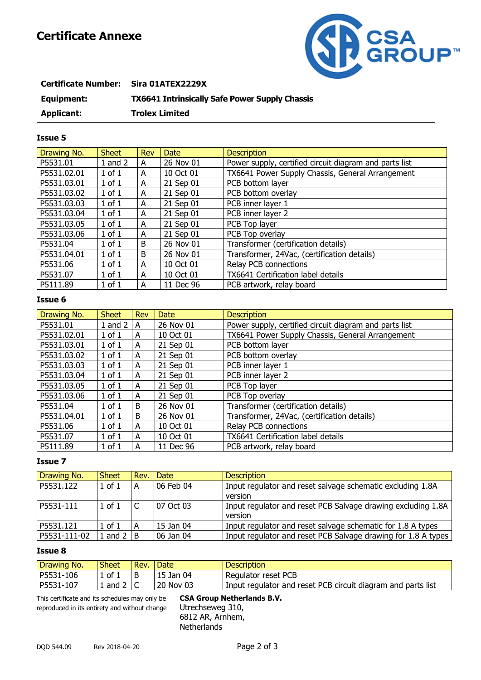## **Certificate Annexe**



| <b>Certificate Number:</b> | Sira 01ATEX2229X                                      |
|----------------------------|-------------------------------------------------------|
| Equipment:                 | <b>TX6641 Intrinsically Safe Power Supply Chassis</b> |
| Applicant:                 | <b>Trolex Limited</b>                                 |

## **Issue 5**

| Drawing No. | <b>Sheet</b> | <b>Rev</b> | <b>Date</b> | <b>Description</b>                                     |
|-------------|--------------|------------|-------------|--------------------------------------------------------|
| P5531.01    | $1$ and $2$  | A          | 26 Nov 01   | Power supply, certified circuit diagram and parts list |
| P5531.02.01 | $1$ of $1$   | A          | 10 Oct 01   | TX6641 Power Supply Chassis, General Arrangement       |
| P5531.03.01 | $1$ of $1$   | A          | 21 Sep 01   | PCB bottom layer                                       |
| P5531.03.02 | $1$ of $1$   | A          | 21 Sep 01   | PCB bottom overlay                                     |
| P5531.03.03 | $1$ of $1$   | A          | 21 Sep 01   | PCB inner layer 1                                      |
| P5531.03.04 | $1$ of $1$   | A          | 21 Sep 01   | PCB inner layer 2                                      |
| P5531.03.05 | $1$ of $1$   | Α          | 21 Sep 01   | PCB Top layer                                          |
| P5531.03.06 | $1$ of $1$   | A          | 21 Sep 01   | PCB Top overlay                                        |
| P5531.04    | $1$ of $1$   | В          | 26 Nov 01   | Transformer (certification details)                    |
| P5531.04.01 | $1$ of $1$   | B          | 26 Nov 01   | Transformer, 24Vac, (certification details)            |
| P5531.06    | $1$ of $1$   | A          | 10 Oct 01   | Relay PCB connections                                  |
| P5531.07    | $1$ of $1$   | A          | 10 Oct 01   | TX6641 Certification label details                     |
| P5111.89    | $1$ of $1$   | A          | 11 Dec 96   | PCB artwork, relay board                               |

## **Issue 6**

| Drawing No. | <b>Sheet</b> | <b>Rev</b> | <b>Date</b> | <b>Description</b>                                     |
|-------------|--------------|------------|-------------|--------------------------------------------------------|
| P5531.01    | $1$ and $2$  | A          | 26 Nov 01   | Power supply, certified circuit diagram and parts list |
| P5531.02.01 | $1$ of $1$   | A          | 10 Oct 01   | TX6641 Power Supply Chassis, General Arrangement       |
| P5531.03.01 | $1$ of $1$   | A          | 21 Sep 01   | PCB bottom layer                                       |
| P5531.03.02 | $1$ of $1$   | A          | 21 Sep 01   | PCB bottom overlay                                     |
| P5531,03,03 | $1$ of $1$   | A          | 21 Sep 01   | PCB inner layer 1                                      |
| P5531.03.04 | $1$ of $1$   | A          | 21 Sep 01   | PCB inner layer 2                                      |
| P5531.03.05 | $1$ of $1$   | A          | 21 Sep 01   | PCB Top layer                                          |
| P5531.03.06 | $1$ of $1$   | A          | 21 Sep 01   | PCB Top overlay                                        |
| P5531.04    | $1$ of $1$   | B          | 26 Nov 01   | Transformer (certification details)                    |
| P5531.04.01 | $1$ of $1$   | B          | 26 Nov 01   | Transformer, 24Vac, (certification details)            |
| P5531.06    | $1$ of $1$   | A          | 10 Oct 01   | Relay PCB connections                                  |
| P5531.07    | $1$ of $1$   | А          | 10 Oct 01   | TX6641 Certification label details                     |
| P5111.89    | $1$ of $1$   | A          | 11 Dec 96   | PCB artwork, relay board                               |

## **Issue 7**

| Drawing No.  | <b>Sheet</b> | Rev. | Date      | <b>Description</b>                                            |
|--------------|--------------|------|-----------|---------------------------------------------------------------|
| P5531.122    | $1$ of $1$   | A    | 06 Feb 04 | Input regulator and reset salvage schematic excluding 1.8A    |
|              |              |      |           | version                                                       |
| P5531-111    | $1$ of $1$   |      | 07 Oct 03 | Input regulator and reset PCB Salvage drawing excluding 1.8A  |
|              |              |      |           | version                                                       |
| P5531.121    | $1$ of $1$   | A    | 15 Jan 04 | Input regulator and reset salvage schematic for 1.8 A types   |
| P5531-111-02 | and 2        | B    | 06 Jan 04 | Input regulator and reset PCB Salvage drawing for 1.8 A types |

## **Issue 8**

| Drawing No. | Sheet          | Rev. | Date      | <b>Description</b>                                           |
|-------------|----------------|------|-----------|--------------------------------------------------------------|
| P5531-106   | . of           |      | 15 Jan 04 | Regulator reset PCB                                          |
| P5531-107   | and 2 $\Gamma$ |      | 20 Nov 03 | Input regulator and reset PCB circuit diagram and parts list |

reproduced in its entirety and without change Utrechseweg 310,

This certificate and its schedules may only be **CSA Group Netherlands B.V.** 6812 AR, Arnhem, **Netherlands**